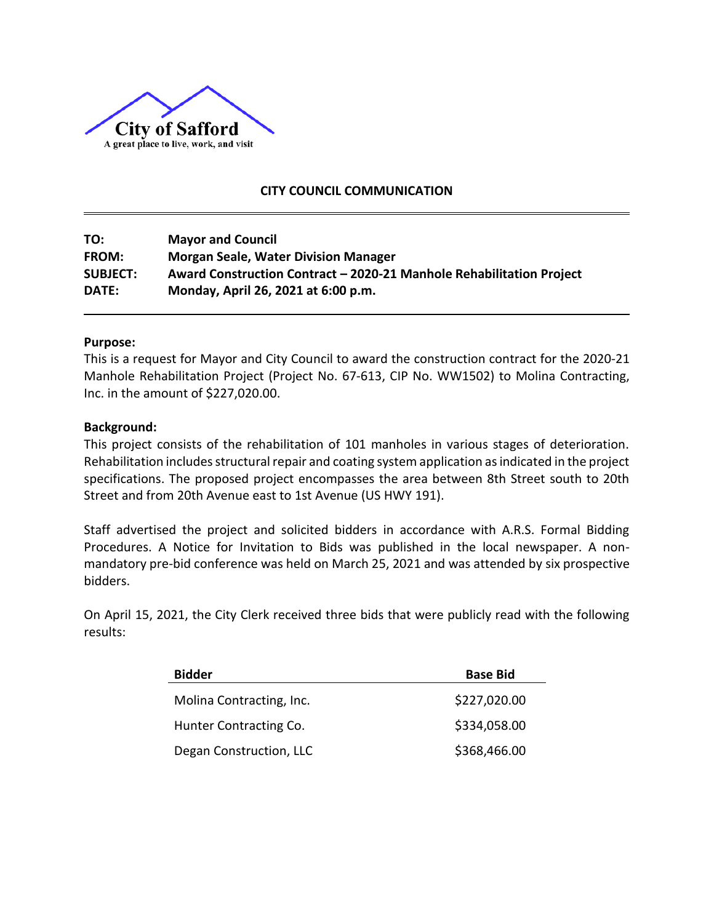

## **CITY COUNCIL COMMUNICATION**

**TO: Mayor and Council FROM: Morgan Seale, Water Division Manager SUBJECT: Award Construction Contract – 2020-21 Manhole Rehabilitation Project DATE: Monday, April 26, 2021 at 6:00 p.m.**

#### **Purpose:**

This is a request for Mayor and City Council to award the construction contract for the 2020-21 Manhole Rehabilitation Project (Project No. 67-613, CIP No. WW1502) to Molina Contracting, Inc. in the amount of \$227,020.00.

### **Background:**

This project consists of the rehabilitation of 101 manholes in various stages of deterioration. Rehabilitation includes structural repair and coating system application as indicated in the project specifications. The proposed project encompasses the area between 8th Street south to 20th Street and from 20th Avenue east to 1st Avenue (US HWY 191).

Staff advertised the project and solicited bidders in accordance with A.R.S. Formal Bidding Procedures. A Notice for Invitation to Bids was published in the local newspaper. A nonmandatory pre-bid conference was held on March 25, 2021 and was attended by six prospective bidders.

On April 15, 2021, the City Clerk received three bids that were publicly read with the following results:

| <b>Bidder</b>            | <b>Base Bid</b> |
|--------------------------|-----------------|
| Molina Contracting, Inc. | \$227,020.00    |
| Hunter Contracting Co.   | \$334,058.00    |
| Degan Construction, LLC  | \$368,466.00    |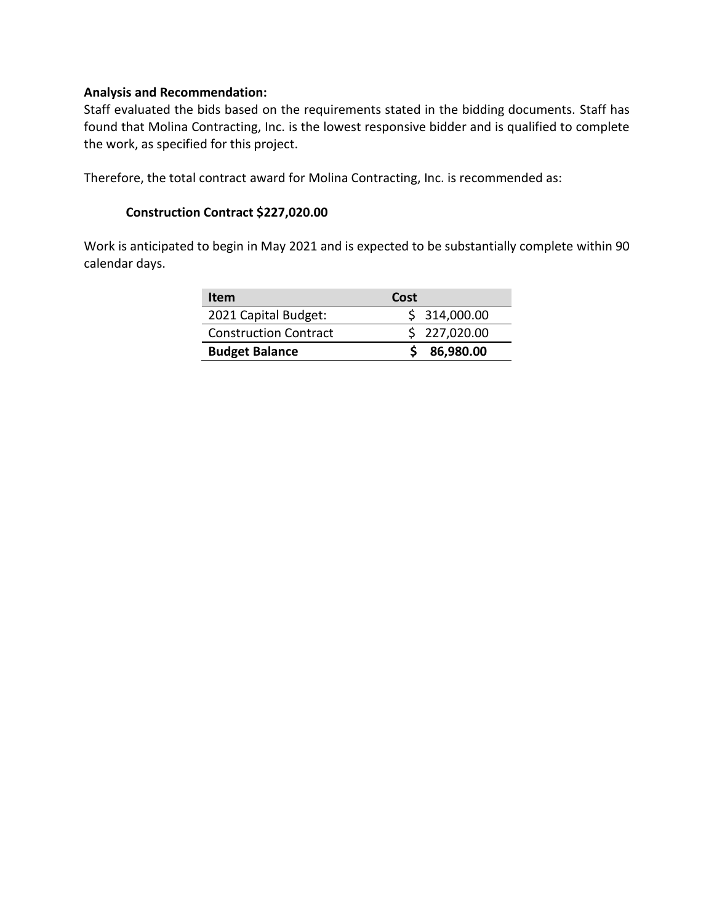### **Analysis and Recommendation:**

Staff evaluated the bids based on the requirements stated in the bidding documents. Staff has found that Molina Contracting, Inc. is the lowest responsive bidder and is qualified to complete the work, as specified for this project.

Therefore, the total contract award for Molina Contracting, Inc. is recommended as:

## **Construction Contract \$227,020.00**

Work is anticipated to begin in May 2021 and is expected to be substantially complete within 90 calendar days.

| Item                         | Cost         |
|------------------------------|--------------|
| 2021 Capital Budget:         | \$314,000.00 |
| <b>Construction Contract</b> | \$227,020.00 |
| <b>Budget Balance</b>        | 86,980.00    |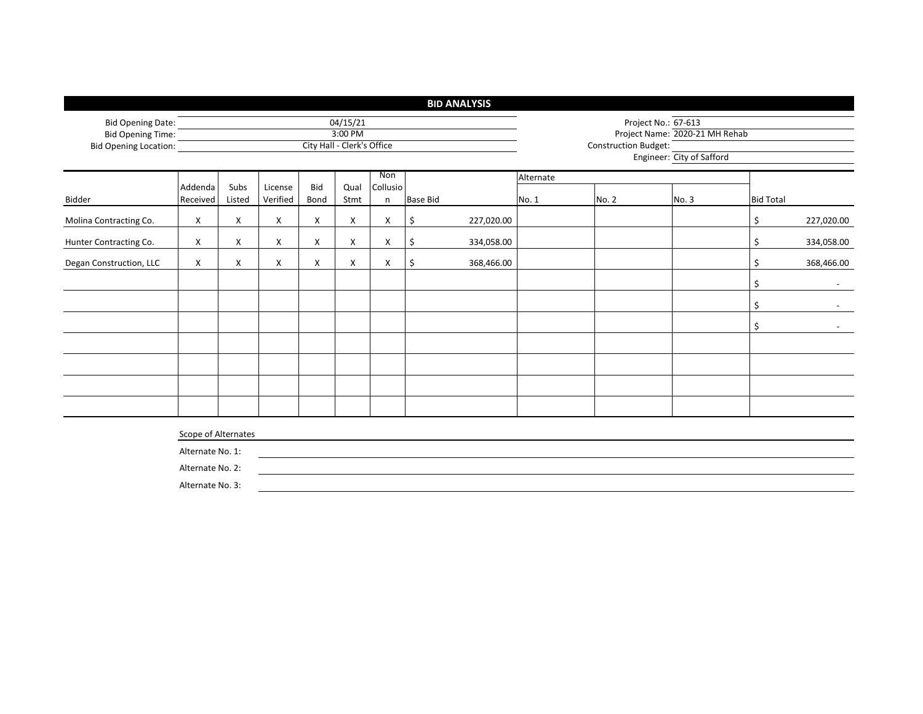|                              |                     |        |          |                            |          |          |                 | <b>BID ANALYSIS</b> |                             |                                |       |                  |            |  |  |
|------------------------------|---------------------|--------|----------|----------------------------|----------|----------|-----------------|---------------------|-----------------------------|--------------------------------|-------|------------------|------------|--|--|
| <b>Bid Opening Date:</b>     |                     |        |          |                            | 04/15/21 |          |                 |                     | Project No.: 67-613         |                                |       |                  |            |  |  |
| Bid Opening Time:            |                     |        |          |                            | 3:00 PM  |          |                 |                     |                             | Project Name: 2020-21 MH Rehab |       |                  |            |  |  |
| <b>Bid Opening Location:</b> |                     |        |          | City Hall - Clerk's Office |          |          |                 |                     | <b>Construction Budget:</b> |                                |       |                  |            |  |  |
|                              |                     |        |          |                            |          |          |                 |                     | Engineer: City of Safford   |                                |       |                  |            |  |  |
|                              |                     |        |          |                            |          | Non      |                 |                     | Alternate                   |                                |       |                  |            |  |  |
|                              | Addenda             | Subs   | License  | Bid                        | Qual     | Collusio |                 |                     |                             |                                |       |                  |            |  |  |
| Bidder                       | Received            | Listed | Verified | Bond                       | Stmt     | n        | <b>Base Bid</b> |                     | No. 1                       | No. 2                          | No. 3 | <b>Bid Total</b> |            |  |  |
| Molina Contracting Co.       | X                   | X      | X        | X                          | X        | X        | \$              | 227,020.00          |                             |                                |       | \$               | 227,020.00 |  |  |
| Hunter Contracting Co.       | X                   | X      | X        | X                          | X        | X        | \$              | 334,058.00          |                             |                                |       | \$               | 334,058.00 |  |  |
| Degan Construction, LLC      | X                   | X      | X        | X                          | X        | X        | \$              | 368,466.00          |                             |                                |       | \$               | 368,466.00 |  |  |
|                              |                     |        |          |                            |          |          |                 |                     |                             |                                |       | \$               |            |  |  |
|                              |                     |        |          |                            |          |          |                 |                     |                             |                                |       | \$               |            |  |  |
|                              |                     |        |          |                            |          |          |                 |                     |                             |                                |       | \$               |            |  |  |
|                              |                     |        |          |                            |          |          |                 |                     |                             |                                |       |                  |            |  |  |
|                              |                     |        |          |                            |          |          |                 |                     |                             |                                |       |                  |            |  |  |
|                              |                     |        |          |                            |          |          |                 |                     |                             |                                |       |                  |            |  |  |
|                              |                     |        |          |                            |          |          |                 |                     |                             |                                |       |                  |            |  |  |
|                              | Scope of Alternates |        |          |                            |          |          |                 |                     |                             |                                |       |                  |            |  |  |
|                              | Alternate No. 1:    |        |          |                            |          |          |                 |                     |                             |                                |       |                  |            |  |  |
|                              | Alternate No. 2:    |        |          |                            |          |          |                 |                     |                             |                                |       |                  |            |  |  |
|                              | Alternate No. 3:    |        |          |                            |          |          |                 |                     |                             |                                |       |                  |            |  |  |